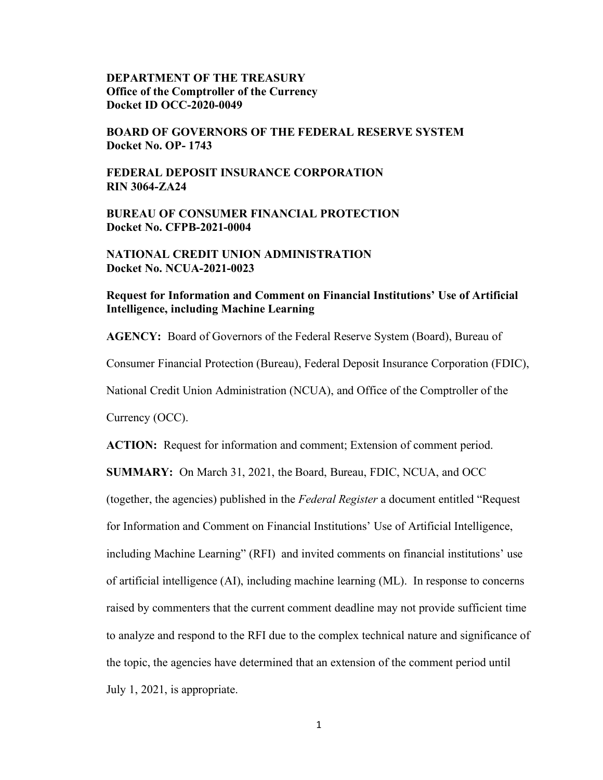# **DEPARTMENT OF THE TREASURY Office of the Comptroller of the Currency Docket ID OCC-2020-0049**

# **BOARD OF GOVERNORS OF THE FEDERAL RESERVE SYSTEM Docket No. OP- 1743**

# **FEDERAL DEPOSIT INSURANCE CORPORATION RIN 3064-ZA24**

# **BUREAU OF CONSUMER FINANCIAL PROTECTION Docket No. CFPB-2021-0004**

### **NATIONAL CREDIT UNION ADMINISTRATION Docket No. NCUA-2021-0023**

# **Request for Information and Comment on Financial Institutions' Use of Artificial Intelligence, including Machine Learning**

**AGENCY:** Board of Governors of the Federal Reserve System (Board), Bureau of

Consumer Financial Protection (Bureau), Federal Deposit Insurance Corporation (FDIC),

National Credit Union Administration (NCUA), and Office of the Comptroller of the

Currency (OCC).

**ACTION:** Request for information and comment; Extension of comment period.

**SUMMARY:** On March 31, 2021, the Board, Bureau, FDIC, NCUA, and OCC

(together, the agencies) published in the *Federal Register* a document entitled "Request

for Information and Comment on Financial Institutions' Use of Artificial Intelligence,

including Machine Learning" (RFI) and invited comments on financial institutions' use

of artificial intelligence (AI), including machine learning (ML). In response to concerns

raised by commenters that the current comment deadline may not provide sufficient time

to analyze and respond to the RFI due to the complex technical nature and significance of

the topic, the agencies have determined that an extension of the comment period until

July 1, 2021, is appropriate.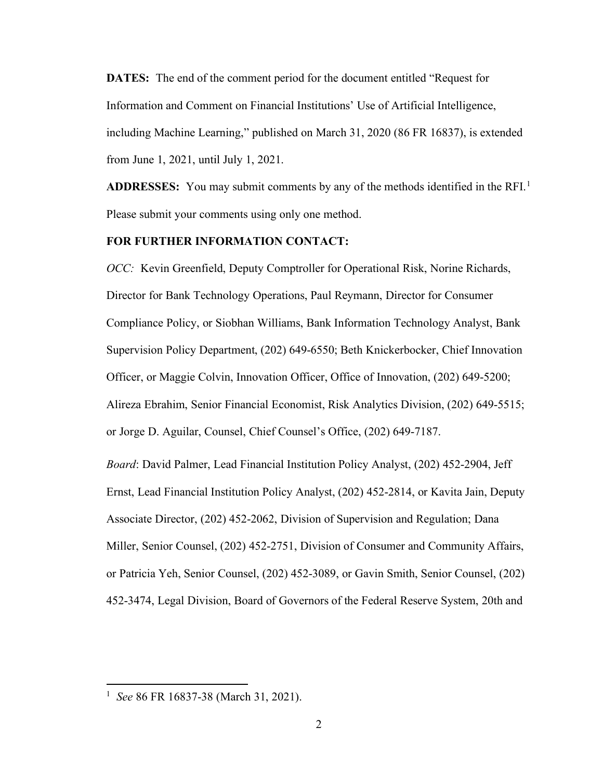**DATES:** The end of the comment period for the document entitled "Request for Information and Comment on Financial Institutions' Use of Artificial Intelligence, including Machine Learning," published on March 31, 2020 (86 FR 16837), is extended from June 1, 2021, until July 1, 2021.

**ADDRESSES:** You may submit comments by any of the methods identified in the RFI. [1](#page-1-0) Please submit your comments using only one method.

#### **FOR FURTHER INFORMATION CONTACT:**

*OCC:* Kevin Greenfield, Deputy Comptroller for Operational Risk, Norine Richards, Director for Bank Technology Operations, Paul Reymann, Director for Consumer Compliance Policy, or Siobhan Williams, Bank Information Technology Analyst, Bank Supervision Policy Department, (202) 649-6550; Beth Knickerbocker, Chief Innovation Officer, or Maggie Colvin, Innovation Officer, Office of Innovation, (202) 649-5200; Alireza Ebrahim, Senior Financial Economist, Risk Analytics Division, (202) 649-5515; or Jorge D. Aguilar, Counsel, Chief Counsel's Office, (202) 649-7187.

*Board*: David Palmer, Lead Financial Institution Policy Analyst, (202) 452-2904, Jeff Ernst, Lead Financial Institution Policy Analyst, (202) 452-2814, or Kavita Jain, Deputy Associate Director, (202) 452-2062, Division of Supervision and Regulation; Dana Miller, Senior Counsel, (202) 452-2751, Division of Consumer and Community Affairs, or Patricia Yeh, Senior Counsel, (202) 452-3089, or Gavin Smith, Senior Counsel, (202) 452-3474, Legal Division, Board of Governors of the Federal Reserve System, 20th and

<span id="page-1-0"></span><sup>1</sup> *See* 86 FR 16837-38 (March 31, 2021).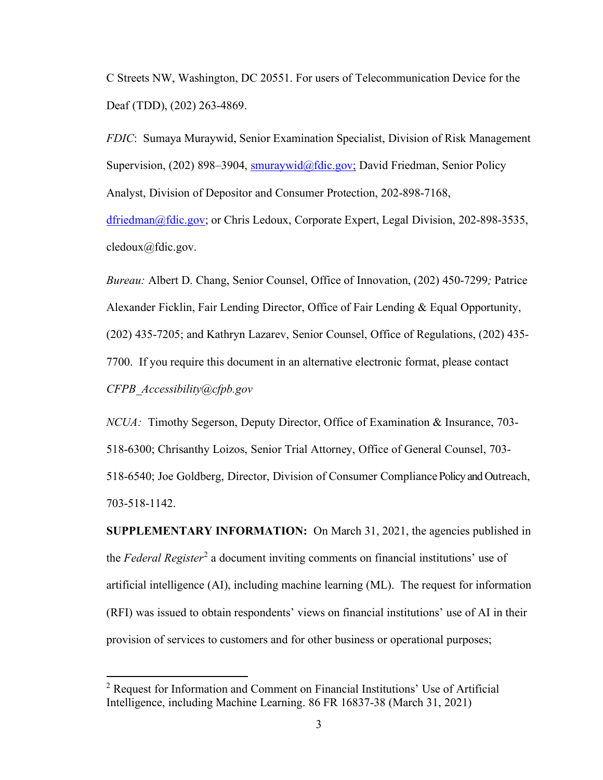C Streets NW, Washington, DC 20551. For users of Telecommunication Device for the Deaf (TDD), (202) 263-4869.

*FDIC*: Sumaya Muraywid, Senior Examination Specialist, Division of Risk Management Supervision, (202) 898–3904, [smuraywid@fdic.gov;](mailto:smuraywid@fdic.gov) David Friedman, Senior Policy Analyst, Division of Depositor and Consumer Protection, 202-898-7168, [dfriedman@fdic.gov;](mailto:dfriedman@fdic.gov) or Chris Ledoux, Corporate Expert, Legal Division, 202-898-3535, cledoux@fdic.gov.

*Bureau:* Albert D. Chang, Senior Counsel, Office of Innovation, (202) 450-7299*;* Patrice Alexander Ficklin, Fair Lending Director, Office of Fair Lending & Equal Opportunity, (202) 435-7205; and Kathryn Lazarev, Senior Counsel, Office of Regulations, (202) 435- 7700. If you require this document in an alternative electronic format, please contact *CFPB\_Accessibility@cfpb.gov*

*NCUA:* Timothy Segerson, Deputy Director, Office of Examination & Insurance, 703- 518-6300; Chrisanthy Loizos, Senior Trial Attorney, Office of General Counsel, 703- 518-6540; Joe Goldberg, Director, Division of Consumer Compliance Policy and Outreach, 703-518-1142.

**SUPPLEMENTARY INFORMATION:** On March 31, 2021, the agencies published in the *Federal Register*[2](#page-2-0) a document inviting comments on financial institutions' use of artificial intelligence (AI), including machine learning (ML). The request for information (RFI) was issued to obtain respondents' views on financial institutions' use of AI in their provision of services to customers and for other business or operational purposes;

<span id="page-2-0"></span><sup>2</sup> Request for Information and Comment on Financial Institutions' Use of Artificial Intelligence, including Machine Learning. 86 FR 16837-38 (March 31, 2021)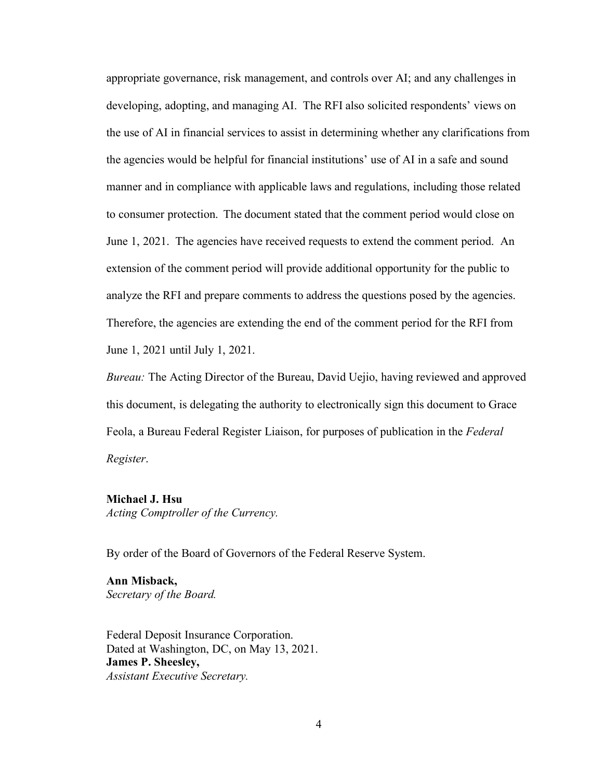appropriate governance, risk management, and controls over AI; and any challenges in developing, adopting, and managing AI. The RFI also solicited respondents' views on the use of AI in financial services to assist in determining whether any clarifications from the agencies would be helpful for financial institutions' use of AI in a safe and sound manner and in compliance with applicable laws and regulations, including those related to consumer protection. The document stated that the comment period would close on June 1, 2021. The agencies have received requests to extend the comment period. An extension of the comment period will provide additional opportunity for the public to analyze the RFI and prepare comments to address the questions posed by the agencies. Therefore, the agencies are extending the end of the comment period for the RFI from June 1, 2021 until July 1, 2021.

*Bureau:* The Acting Director of the Bureau, David Uejio, having reviewed and approved this document, is delegating the authority to electronically sign this document to Grace Feola, a Bureau Federal Register Liaison, for purposes of publication in the *Federal Register*.

#### **Michael J. Hsu**

*Acting Comptroller of the Currency.*

By order of the Board of Governors of the Federal Reserve System.

**Ann Misback,** *Secretary of the Board.*

Federal Deposit Insurance Corporation. Dated at Washington, DC, on May 13, 2021. **James P. Sheesley,** *Assistant Executive Secretary.*